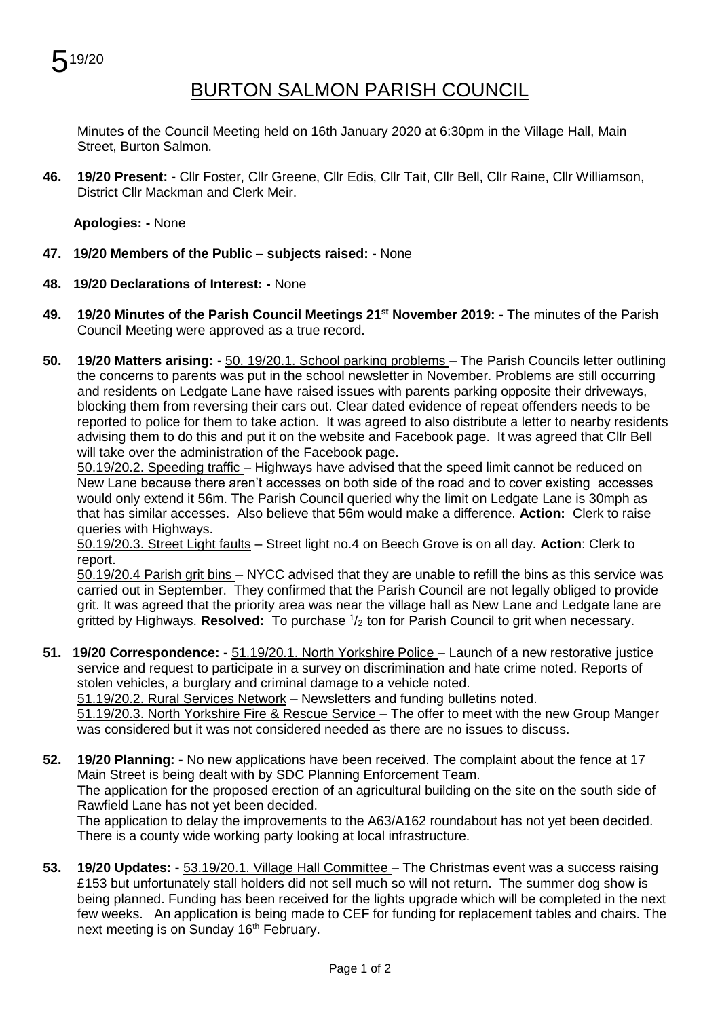

## BURTON SALMON PARISH COUNCIL

Minutes of the Council Meeting held on 16th January 2020 at 6:30pm in the Village Hall, Main Street, Burton Salmon.

**46. 19/20 Present: -** Cllr Foster, Cllr Greene, Cllr Edis, Cllr Tait, Cllr Bell, Cllr Raine, Cllr Williamson, District Cllr Mackman and Clerk Meir.

**Apologies: -** None

- **47. 19/20 Members of the Public – subjects raised: -** None
- **48. 19/20 Declarations of Interest: -** None
- **49. 19/20 Minutes of the Parish Council Meetings 21 st November 2019: -** The minutes of the Parish Council Meeting were approved as a true record.
- **50. 19/20 Matters arising: -** 50. 19/20.1. School parking problems The Parish Councils letter outlining the concerns to parents was put in the school newsletter in November. Problems are still occurring and residents on Ledgate Lane have raised issues with parents parking opposite their driveways, blocking them from reversing their cars out. Clear dated evidence of repeat offenders needs to be reported to police for them to take action. It was agreed to also distribute a letter to nearby residents advising them to do this and put it on the website and Facebook page. It was agreed that Cllr Bell will take over the administration of the Facebook page.

50.19/20.2. Speeding traffic – Highways have advised that the speed limit cannot be reduced on New Lane because there aren't accesses on both side of the road and to cover existing accesses would only extend it 56m. The Parish Council queried why the limit on Ledgate Lane is 30mph as that has similar accesses. Also believe that 56m would make a difference. **Action:** Clerk to raise queries with Highways.

50.19/20.3. Street Light faults – Street light no.4 on Beech Grove is on all day. **Action**: Clerk to report.

50.19/20.4 Parish grit bins – NYCC advised that they are unable to refill the bins as this service was carried out in September. They confirmed that the Parish Council are not legally obliged to provide grit. It was agreed that the priority area was near the village hall as New Lane and Ledgate lane are gritted by Highways. Resolved: To purchase  $1/2$  ton for Parish Council to grit when necessary.

- **51. 19/20 Correspondence: -** 51.19/20.1. North Yorkshire Police Launch of a new restorative justice service and request to participate in a survey on discrimination and hate crime noted. Reports of stolen vehicles, a burglary and criminal damage to a vehicle noted. 51.19/20.2. Rural Services Network – Newsletters and funding bulletins noted. 51.19/20.3. North Yorkshire Fire & Rescue Service – The offer to meet with the new Group Manger
- was considered but it was not considered needed as there are no issues to discuss. **52. 19/20 Planning: -** No new applications have been received. The complaint about the fence at 17 Main Street is being dealt with by SDC Planning Enforcement Team. The application for the proposed erection of an agricultural building on the site on the south side of Rawfield Lane has not yet been decided.

The application to delay the improvements to the A63/A162 roundabout has not yet been decided. There is a county wide working party looking at local infrastructure.

**53. 19/20 Updates: -** 53.19/20.1. Village Hall Committee – The Christmas event was a success raising £153 but unfortunately stall holders did not sell much so will not return. The summer dog show is being planned. Funding has been received for the lights upgrade which will be completed in the next few weeks. An application is being made to CEF for funding for replacement tables and chairs. The next meeting is on Sunday 16<sup>th</sup> February.